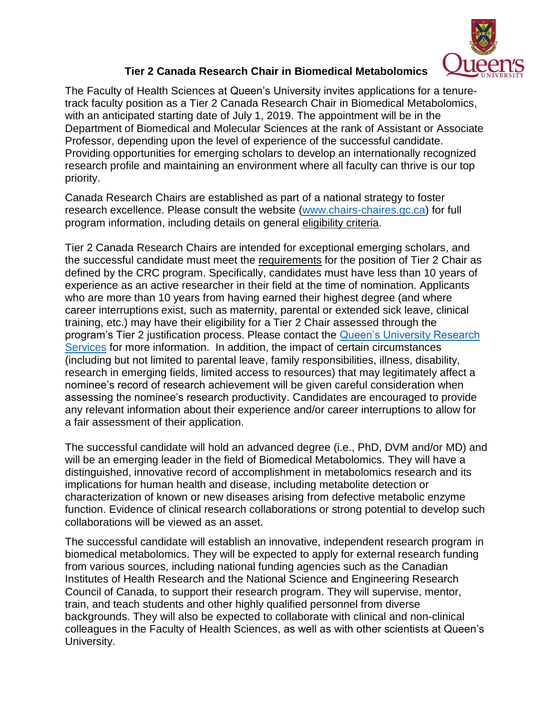

## **Tier 2 Canada Research Chair in Biomedical Metabolomics**

The Faculty of Health Sciences at Queen's University invites applications for a tenuretrack faculty position as a Tier 2 Canada Research Chair in Biomedical Metabolomics, with an anticipated starting date of July 1, 2019. The appointment will be in the Department of Biomedical and Molecular Sciences at the rank of Assistant or Associate Professor, depending upon the level of experience of the successful candidate. Providing opportunities for emerging scholars to develop an internationally recognized research profile and maintaining an environment where all faculty can thrive is our top priority.

Canada Research Chairs are established as part of a national strategy to foster research excellence. Please consult the website [\(www.chairs-chaires.gc.ca\)](http://www.chairs-chaires.gc.ca/) for full program information, including details on general [eligibility criteria.](http://www.chairs-chaires.gc.ca/program-programme/nomination-mise_en_candidature-eng.aspx#s4)

Tier 2 Canada Research Chairs are intended for exceptional emerging scholars, and the successful candidate must meet the [requirements](http://www.chairs-chaires.gc.ca/program-programme/nomination-mise_en_candidature-eng.aspx#s7) for the position of Tier 2 Chair as defined by the CRC program. Specifically, candidates must have less than 10 years of experience as an active researcher in their field at the time of nomination. Applicants who are more than 10 years from having earned their highest degree (and where career interruptions exist, such as maternity, parental or extended sick leave, clinical training, etc.) may have their eligibility for a Tier 2 Chair assessed through the program's Tier 2 justification process. Please contact the [Queen's University Research](https://www.queensu.ca/urs/contact-us)  [Services](https://www.queensu.ca/urs/contact-us) for more information. In addition, the impact of certain circumstances (including but not limited to parental leave, family responsibilities, illness, disability, research in emerging fields, limited access to resources) that may legitimately affect a nominee's record of research achievement will be given careful consideration when assessing the nominee's research productivity. Candidates are encouraged to provide any relevant information about their experience and/or career interruptions to allow for a fair assessment of their application.

The successful candidate will hold an advanced degree (i.e., PhD, DVM and/or MD) and will be an emerging leader in the field of Biomedical Metabolomics. They will have a distinguished, innovative record of accomplishment in metabolomics research and its implications for human health and disease, including metabolite detection or characterization of known or new diseases arising from defective metabolic enzyme function. Evidence of clinical research collaborations or strong potential to develop such collaborations will be viewed as an asset.

The successful candidate will establish an innovative, independent research program in biomedical metabolomics. They will be expected to apply for external research funding from various sources, including national funding agencies such as the Canadian Institutes of Health Research and the National Science and Engineering Research Council of Canada, to support their research program. They will supervise, mentor, train, and teach students and other highly qualified personnel from diverse backgrounds. They will also be expected to collaborate with clinical and non-clinical colleagues in the Faculty of Health Sciences, as well as with other scientists at Queen's University.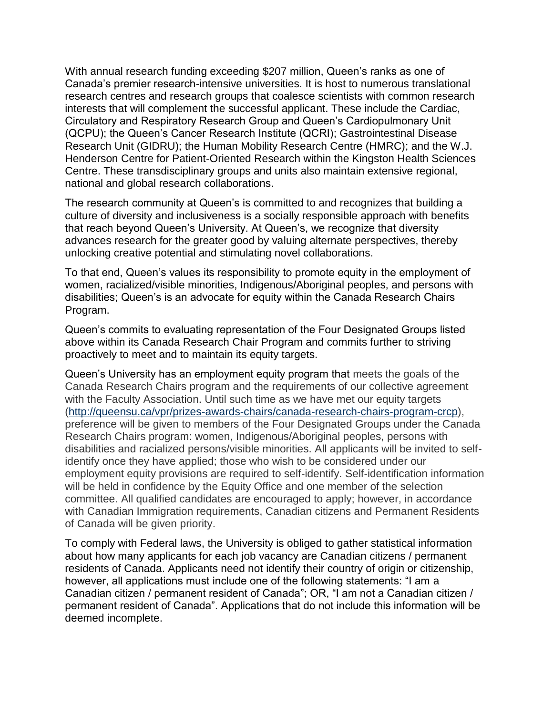With annual research funding exceeding \$207 million, Queen's ranks as one of Canada's premier research-intensive universities. It is host to numerous translational research centres and research groups that coalesce scientists with common research interests that will complement the successful applicant. These include the Cardiac, Circulatory and Respiratory Research Group and Queen's Cardiopulmonary Unit (QCPU); the Queen's Cancer Research Institute (QCRI); Gastrointestinal Disease Research Unit (GIDRU); the Human Mobility Research Centre (HMRC); and the W.J. Henderson Centre for Patient-Oriented Research within the Kingston Health Sciences Centre. These transdisciplinary groups and units also maintain extensive regional, national and global research collaborations.

The research community at Queen's is committed to and recognizes that building a culture of diversity and inclusiveness is a socially responsible approach with benefits that reach beyond Queen's University. At Queen's, we recognize that diversity advances research for the greater good by valuing alternate perspectives, thereby unlocking creative potential and stimulating novel collaborations.

To that end, Queen's values its responsibility to promote equity in the employment of women, racialized/visible minorities, Indigenous/Aboriginal peoples, and persons with disabilities; Queen's is an advocate for equity within the Canada Research Chairs Program.

Queen's commits to evaluating representation of the Four Designated Groups listed above within its Canada Research Chair Program and commits further to striving proactively to meet and to maintain its equity targets.

Queen's University has an employment equity program that meets the goals of the Canada Research Chairs program and the requirements of our collective agreement with the Faculty Association. Until such time as we have met our equity targets [\(http://queensu.ca/vpr/prizes-awards-chairs/canada-research-chairs-program-crcp\)](http://queensu.ca/vpr/prizes-awards-chairs/canada-research-chairs-program-crcp), preference will be given to members of the Four Designated Groups under the Canada Research Chairs program: women, Indigenous/Aboriginal peoples, persons with disabilities and racialized persons/visible minorities. All applicants will be invited to selfidentify once they have applied; those who wish to be considered under our employment equity provisions are required to self-identify. Self-identification information will be held in confidence by the Equity Office and one member of the selection committee. All qualified candidates are encouraged to apply; however, in accordance with Canadian Immigration requirements, Canadian citizens and Permanent Residents of Canada will be given priority.

To comply with Federal laws, the University is obliged to gather statistical information about how many applicants for each job vacancy are Canadian citizens / permanent residents of Canada. Applicants need not identify their country of origin or citizenship, however, all applications must include one of the following statements: "I am a Canadian citizen / permanent resident of Canada"; OR, "I am not a Canadian citizen / permanent resident of Canada". Applications that do not include this information will be deemed incomplete.